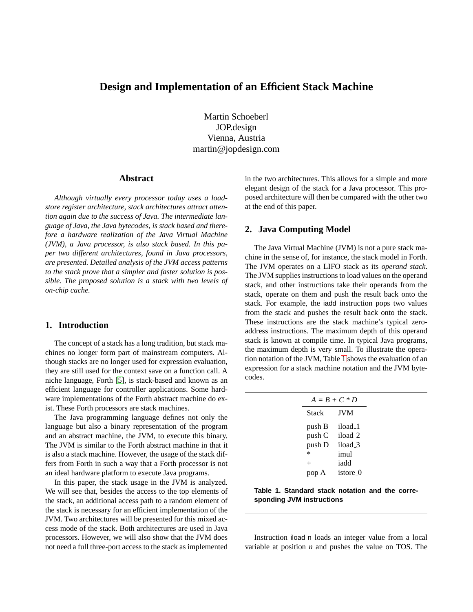# **Design and Implementation of an Efficient Stack Machine**

Martin Schoeberl JOP.design Vienna, Austria martin@jopdesign.com

## **Abstract**

*Although virtually every processor today uses a loadstore register architecture, stack architectures attract attention again due to the success of Java. The intermediate language of Java, the Java bytecodes, is stack based and therefore a hardware realization of the Java Virtual Machine (JVM), a Java processor, is also stack based. In this paper two different architectures, found in Java processors, are presented. Detailed analysis of the JVM access patterns to the stack prove that a simpler and faster solution is possible. The proposed solution is a stack with two levels of on-chip cache.*

# **1. Introduction**

The concept of a stack has a long tradition, but stack machines no longer form part of mainstream computers. Although stacks are no longer used for expression evaluation, they are still used for the context save on a function call. A niche language, Forth [\[5\]](#page-7-0), is stack-based and known as an efficient language for controller applications. Some hardware implementations of the Forth abstract machine do exist. These Forth processors are stack machines.

The Java programming language defines not only the language but also a binary representation of the program and an abstract machine, the JVM, to execute this binary. The JVM is similar to the Forth abstract machine in that it is also a stack machine. However, the usage of the stack differs from Forth in such a way that a Forth processor is not an ideal hardware platform to execute Java programs.

In this paper, the stack usage in the JVM is analyzed. We will see that, besides the access to the top elements of the stack, an additional access path to a random element of the stack is necessary for an efficient implementation of the JVM. Two architectures will be presented for this mixed access mode of the stack. Both architectures are used in Java processors. However, we will also show that the JVM does not need a full three-port access to the stack as implemented in the two architectures. This allows for a simple and more elegant design of the stack for a Java processor. This proposed architecture will then be compared with the other two at the end of this paper.

# **2. Java Computing Model**

The Java Virtual Machine (JVM) is not a pure stack machine in the sense of, for instance, the stack model in Forth. The JVM operates on a LIFO stack as its *operand stack*. The JVM supplies instructions to load values on the operand stack, and other instructions take their operands from the stack, operate on them and push the result back onto the stack. For example, the iadd instruction pops two values from the stack and pushes the result back onto the stack. These instructions are the stack machine's typical zeroaddress instructions. The maximum depth of this operand stack is known at compile time. In typical Java programs, the maximum depth is very small. To illustrate the operation notation of the JVM, Table [1](#page-0-0) shows the evaluation of an expression for a stack machine notation and the JVM bytecodes.

<span id="page-0-0"></span>

|        | $A = B + C * D$     |
|--------|---------------------|
| Stack  | <b>JVM</b>          |
| push B | iload 1             |
| push C | iload 2             |
| push D | iload <sub>-3</sub> |
| $\ast$ | imul                |
| $^{+}$ | iadd                |
| pop A  | istore_0            |

**Table 1. Standard stack notation and the corresponding JVM instructions**

Instruction iload n loads an integer value from a local variable at position *n* and pushes the value on TOS. The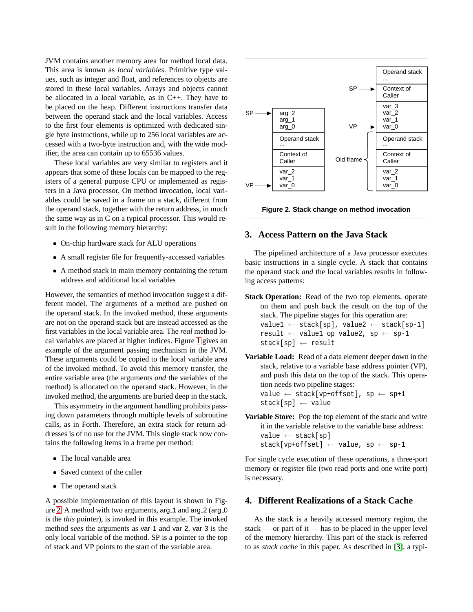JVM contains another memory area for method local data. This area is known as *local variables*. Primitive type values, such as integer and float, and references to objects are stored in these local variables. Arrays and objects cannot be allocated in a local variable, as in C++. They have to be placed on the heap. Different instructions transfer data between the operand stack and the local variables. Access to the first four elements is optimized with dedicated single byte instructions, while up to 256 local variables are accessed with a two-byte instruction and, with the wide modifier, the area can contain up to 65536 values.

These local variables are very similar to registers and it appears that some of these locals can be mapped to the registers of a general purpose CPU or implemented as registers in a Java processor. On method invocation, local variables could be saved in a frame on a stack, different from the operand stack, together with the return address, in much the same way as in C on a typical processor. This would result in the following memory hierarchy:

- On-chip hardware stack for ALU operations
- A small register file for frequently-accessed variables
- A method stack in main memory containing the return address and additional local variables

However, the semantics of method invocation suggest a different model. The arguments of a method are pushed on the operand stack. In the invoked method, these arguments are not on the operand stack but are instead accessed as the first variables in the local variable area. The *real* method local variables are placed at higher indices. Figure [1](#page-2-0) gives an example of the argument passing mechanism in the JVM. These arguments could be copied to the local variable area of the invoked method. To avoid this memory transfer, the entire variable area (the arguments *and* the variables of the method) is allocated on the operand stack. However, in the invoked method, the arguments are buried deep in the stack.

This asymmetry in the argument handling prohibits passing down parameters through multiple levels of subroutine calls, as in Forth. Therefore, an extra stack for return addresses is of no use for the JVM. This single stack now contains the following items in a frame per method:

- The local variable area
- Saved context of the caller
- The operand stack

A possible implementation of this layout is shown in Fig-ure [2.](#page-1-0) A method with two arguments, arg 1 and arg 2 (arg 0 is the *this* pointer), is invoked in this example. The invoked method *sees* the arguments as var 1 and var 2. var 3 is the only local variable of the method. SP is a pointer to the top of stack and VP points to the start of the variable area.

<span id="page-1-0"></span>

**Figure 2. Stack change on method invocation**

# <span id="page-1-1"></span>**3. Access Pattern on the Java Stack**

The pipelined architecture of a Java processor executes basic instructions in a single cycle. A stack that contains the operand stack *and* the local variables results in following access patterns:

- **Stack Operation:** Read of the two top elements, operate on them and push back the result on the top of the stack. The pipeline stages for this operation are: value1  $\leftarrow$  stack[sp], value2  $\leftarrow$  stack[sp-1] result  $\leftarrow$  value1 op value2, sp  $\leftarrow$  sp-1 stack[sp] ← result
- **Variable Load:** Read of a data element deeper down in the stack, relative to a variable base address pointer (VP), and push this data on the top of the stack. This operation needs two pipeline stages: value  $\leftarrow$  stack[vp+offset], sp  $\leftarrow$  sp+1 stack[sp] ← value
- **Variable Store:** Pop the top element of the stack and write it in the variable relative to the variable base address: value  $\leftarrow$  stack[sp] stack[vp+offset]  $\leftarrow$  value, sp  $\leftarrow$  sp-1

For single cycle execution of these operations, a three-port memory or register file (two read ports and one write port) is necessary.

## **4. Different Realizations of a Stack Cache**

As the stack is a heavily accessed memory region, the stack — or part of it — has to be placed in the upper level of the memory hierarchy. This part of the stack is referred to as *stack cache* in this paper. As described in [\[3\]](#page-7-1), a typi-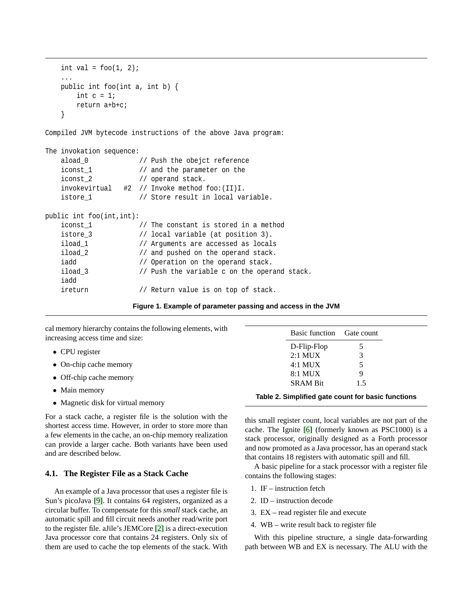```
int val = foo(1, 2);
   ...
   public int foo(int a, int b) {
      int c = 1;
      return a+b+c;
   }
Compiled JVM bytecode instructions of the above Java program:
The invokation sequence:
   aload_0 // Push the obejct reference
   iconst_1 // and the parameter on the
   iconst_2 // operand stack.
   invokevirtual #2 // Invoke method foo:(II)I.
   istore 1 // Store result in local variable.
public int foo(int,int):
   iconst_1 // The constant is stored in a method
   istore_3 // local variable (at position 3).
   iload_1 // Arguments are accessed as locals
   iload<sub>2</sub> // and pushed on the operand stack.
   iadd \frac{1}{2} // Operation on the operand stack.
   iload_3 // Push the variable c on the operand stack.
   iadd
   ireturn // Return value is on top of stack.
```
<span id="page-2-1"></span>**Figure 1. Example of parameter passing and access in the JVM**

| cal memory hierarchy contains the following elements, with<br>increasing access time and size: | <b>Basic function</b>                              | Gate count |
|------------------------------------------------------------------------------------------------|----------------------------------------------------|------------|
|                                                                                                | $D$ -Flip-Flop                                     |            |
| $\bullet$ CPU register                                                                         | $2:1$ MUX                                          | 3          |
| • On-chip cache memory                                                                         | $4:1$ MUX                                          |            |
| • Off-chip cache memory                                                                        | 8:1 MUX                                            | 9          |
|                                                                                                | <b>SRAM Bit</b>                                    | 1.5        |
| $\bullet$ Main memory                                                                          |                                                    |            |
|                                                                                                | Table 2. Simplified gate count for basic functions |            |

• Magnetic disk for virtual memory

For a stack cache, a register file is the solution with the shortest access time. However, in order to store more than a few elements in the cache, an on-chip memory realization can provide a larger cache. Both variants have been used and are described below.

#### **4.1. The Register File as a Stack Cache**

An example of a Java processor that uses a register file is Sun's picoJava [\[9\]](#page-7-2). It contains 64 registers, organized as a circular buffer. To compensate for this *small* stack cache, an automatic spill and fill circuit needs another read/write port to the register file. aJile's JEMCore [\[2\]](#page-7-3) is a direct-execution Java processor core that contains 24 registers. Only six of them are used to cache the top elements of the stack. With this small register count, local variables are not part of the cache. The Ignite [\[6\]](#page-7-4) (formerly known as PSC1000) is a stack processor, originally designed as a Forth processor and now promoted as a Java processor, has an operand stack that contains 18 registers with automatic spill and fill.

A basic pipeline for a stack processor with a register file contains the following stages:

- 1. IF instruction fetch
- 2. ID instruction decode
- 3. EX read register file and execute
- 4. WB write result back to register file

With this pipeline structure, a single data-forwarding path between WB and EX is necessary. The ALU with the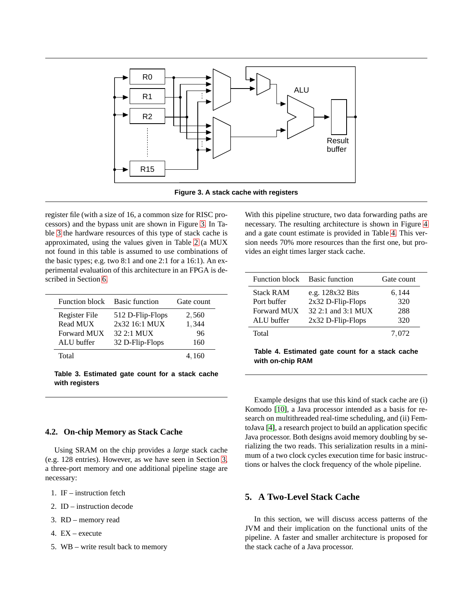<span id="page-3-0"></span>

**Figure 3. A stack cache with registers**

register file (with a size of 16, a common size for RISC processors) and the bypass unit are shown in Figure [3.](#page-3-0) In Table [3](#page-3-1) the hardware resources of this type of stack cache is approximated, using the values given in Table [2](#page-2-1) (a MUX not found in this table is assumed to use combinations of the basic types; e.g. two 8:1 and one 2:1 for a 16:1). An experimental evaluation of this architecture in an FPGA is described in Section [6.](#page-6-0)

<span id="page-3-1"></span>

| Function block Basic function |                  | Gate count |
|-------------------------------|------------------|------------|
| Register File                 | 512 D-Flip-Flops | 2,560      |
| Read MUX                      | 2x32 16:1 MUX    | 1,344      |
| Forward MUX                   | $32.2:1$ MUX     | 96         |
| ALU buffer                    | 32 D-Flip-Flops  | 160        |
| Total                         |                  | 4,160      |

**Table 3. Estimated gate count for a stack cache with registers**

## **4.2. On-chip Memory as Stack Cache**

Using SRAM on the chip provides a *large* stack cache (e.g. 128 entries). However, as we have seen in Section [3,](#page-1-1) a three-port memory and one additional pipeline stage are necessary:

- 1. IF instruction fetch
- 2. ID instruction decode
- 3. RD memory read
- 4. EX execute
- 5. WB write result back to memory

With this pipeline structure, two data forwarding paths are necessary. The resulting architecture is shown in Figure [4](#page-4-0) and a gate count estimate is provided in Table [4.](#page-3-2) This version needs 70% more resources than the first one, but provides an eight times larger stack cache.

<span id="page-3-2"></span>

| Function block Basic function |                     | Gate count |
|-------------------------------|---------------------|------------|
| <b>Stack RAM</b>              | e.g. 128x32 Bits    | 6,144      |
| Port buffer                   | $2x32$ D-Flip-Flops | 320        |
| Forward MUX                   | 32 2:1 and 3:1 MUX  | 288        |
| ALU buffer                    | 2x32 D-Flip-Flops   | 320        |
| Total                         |                     | 7,072      |

**Table 4. Estimated gate count for a stack cache with on-chip RAM**

Example designs that use this kind of stack cache are (i) Komodo [\[10\]](#page-7-5), a Java processor intended as a basis for research on multithreaded real-time scheduling, and (ii) FemtoJava [\[4\]](#page-7-6), a research project to build an application specific Java processor. Both designs avoid memory doubling by serializing the two reads. This serialization results in a minimum of a two clock cycles execution time for basic instructions or halves the clock frequency of the whole pipeline.

# **5. A Two-Level Stack Cache**

In this section, we will discuss access patterns of the JVM and their implication on the functional units of the pipeline. A faster and smaller architecture is proposed for the stack cache of a Java processor.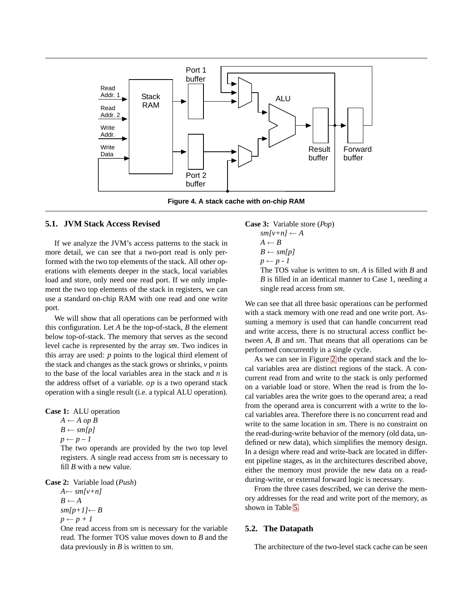<span id="page-4-0"></span>

**Figure 4. A stack cache with on-chip RAM**

#### **5.1. JVM Stack Access Revised**

If we analyze the JVM's access patterns to the stack in more detail, we can see that a two-port read is only performed with the two top elements of the stack. All other operations with elements deeper in the stack, local variables load and store, only need one read port. If we only implement the two top elements of the stack in registers, we can use a standard on-chip RAM with one read and one write port.

We will show that all operations can be performed with this configuration. Let *A* be the top-of-stack, *B* the element below top-of-stack. The memory that serves as the second level cache is represented by the array *sm*. Two indices in this array are used: *p* points to the logical third element of the stack and changes as the stack grows or shrinks, *v* points to the base of the local variables area in the stack and *n* is the address offset of a variable. *op* is a two operand stack operation with a single result (i.e. a typical ALU operation).

#### **Case 1:** ALU operation

 $A \leftarrow A$  op  $B$ 

$$
B \leftarrow \textit{sm}[p]
$$

 $p \leftarrow p - 1$ 

The two operands are provided by the two top level registers. A single read access from *sm* is necessary to fill *B* with a new value.

#### **Case 2:** Variable load (*Push*)

 $A \leftarrow sm[v+n]$  $B \leftarrow A$  $sm[p+1] \leftarrow B$  $p \leftarrow p + 1$ 

One read access from *sm* is necessary for the variable read. The former TOS value moves down to *B* and the data previously in *B* is written to *sm*.

**Case 3:** Variable store *(Pop)*  
\n
$$
sm[v+n] \leftarrow A
$$
\n
$$
A \leftarrow B
$$
\n
$$
B \leftarrow sm[p]
$$
\n
$$
p \leftarrow p - 1
$$
\nThe TOS value is written to *sm*. A is filled with B and B is filled in an identical manner to Case 1, needing a

single read access from *sm*.

We can see that all three basic operations can be performed with a stack memory with one read and one write port. Assuming a memory is used that can handle concurrent read and write access, there is no structural access conflict between *A*, *B* and *sm*. That means that all operations can be performed concurrently in a single cycle.

As we can see in Figure [2](#page-1-0) the operand stack and the local variables area are distinct regions of the stack. A concurrent read from and write to the stack is only performed on a variable load or store. When the read is from the local variables area the write goes to the operand area; a read from the operand area is concurrent with a write to the local variables area. Therefore there is no concurrent read and write to the same location in *sm*. There is no constraint on the read-during-write behavior of the memory (old data, undefined or new data), which simplifies the memory design. In a design where read and write-back are located in different pipeline stages, as in the architectures described above, either the memory must provide the new data on a readduring-write, or external forward logic is necessary.

From the three cases described, we can derive the memory addresses for the read and write port of the memory, as shown in Table [5.](#page-5-0)

#### **5.2. The Datapath**

The architecture of the two-level stack cache can be seen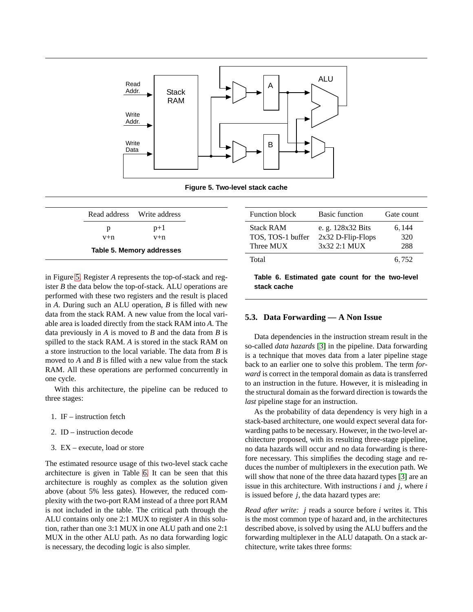<span id="page-5-1"></span>

<span id="page-5-2"></span>**Figure 5. Two-level stack cache**

<span id="page-5-0"></span>

|       | Read address Write address |  |
|-------|----------------------------|--|
| р     | $p+1$                      |  |
| $v+n$ | v+n                        |  |
|       | Table 5. Memory addresses  |  |

in Figure [5.](#page-5-1) Register *A* represents the top-of-stack and register *B* the data below the top-of-stack. ALU operations are performed with these two registers and the result is placed in *A*. During such an ALU operation, *B* is filled with new data from the stack RAM. A new value from the local variable area is loaded directly from the stack RAM into *A*. The data previously in *A* is moved to *B* and the data from *B* is spilled to the stack RAM. *A* is stored in the stack RAM on a store instruction to the local variable. The data from *B* is moved to *A* and *B* is filled with a new value from the stack RAM. All these operations are performed concurrently in one cycle.

With this architecture, the pipeline can be reduced to three stages:

- 1. IF instruction fetch
- 2. ID instruction decode
- 3. EX execute, load or store

The estimated resource usage of this two-level stack cache architecture is given in Table [6.](#page-5-2) It can be seen that this architecture is roughly as complex as the solution given above (about 5% less gates). However, the reduced complexity with the two-port RAM instead of a three port RAM is not included in the table. The critical path through the ALU contains only one 2:1 MUX to register *A* in this solution, rather than one 3:1 MUX in one ALU path and one 2:1 MUX in the other ALU path. As no data forwarding logic is necessary, the decoding logic is also simpler.

| <b>Function block</b>                 | <b>Basic function</b>                  | Gate count   |
|---------------------------------------|----------------------------------------|--------------|
| <b>Stack RAM</b><br>TOS, TOS-1 buffer | e. g. 128x32 Bits<br>2x32 D-Flip-Flops | 6,144<br>320 |
| Three MUX                             | 3x32 2:1 MUX                           | 288          |
| Total                                 |                                        | 6,752        |

**Table 6. Estimated gate count for the two-level stack cache**

## **5.3. Data Forwarding — A Non Issue**

Data dependencies in the instruction stream result in the so-called *data hazards* [\[3\]](#page-7-1) in the pipeline. Data forwarding is a technique that moves data from a later pipeline stage back to an earlier one to solve this problem. The term *forward* is correct in the temporal domain as data is transferred to an instruction in the future. However, it is misleading in the structural domain as the forward direction is towards the *last* pipeline stage for an instruction.

As the probability of data dependency is very high in a stack-based architecture, one would expect several data forwarding paths to be necessary. However, in the two-level architecture proposed, with its resulting three-stage pipeline, no data hazards will occur and no data forwarding is therefore necessary. This simplifies the decoding stage and reduces the number of multiplexers in the execution path. We will show that none of the three data hazard types [\[3\]](#page-7-1) are an issue in this architecture. With instructions *i* and *j*, where *i* is issued before *j*, the data hazard types are:

*Read after write: j* reads a source before *i* writes it. This is the most common type of hazard and, in the architectures described above, is solved by using the ALU buffers and the forwarding multiplexer in the ALU datapath. On a stack architecture, write takes three forms: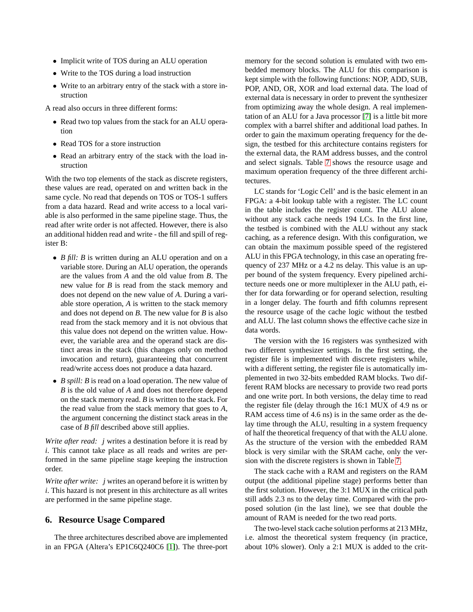- Implicit write of TOS during an ALU operation
- Write to the TOS during a load instruction
- Write to an arbitrary entry of the stack with a store instruction

A read also occurs in three different forms:

- Read two top values from the stack for an ALU operation
- Read TOS for a store instruction
- Read an arbitrary entry of the stack with the load instruction

With the two top elements of the stack as discrete registers, these values are read, operated on and written back in the same cycle. No read that depends on TOS or TOS-1 suffers from a data hazard. Read and write access to a local variable is also performed in the same pipeline stage. Thus, the read after write order is not affected. However, there is also an additional hidden read and write - the fill and spill of register B:

- *B fill: B* is written during an ALU operation and on a variable store. During an ALU operation, the operands are the values from *A* and the old value from *B*. The new value for *B* is read from the stack memory and does not depend on the new value of *A*. During a variable store operation, *A* is written to the stack memory and does not depend on *B*. The new value for *B* is also read from the stack memory and it is not obvious that this value does not depend on the written value. However, the variable area and the operand stack are distinct areas in the stack (this changes only on method invocation and return), guaranteeing that concurrent read/write access does not produce a data hazard.
- *B spill: B* is read on a load operation. The new value of *B* is the old value of *A* and does not therefore depend on the stack memory read. *B* is written to the stack. For the read value from the stack memory that goes to *A*, the argument concerning the distinct stack areas in the case of *B fill* described above still applies.

*Write after read: j* writes a destination before it is read by *i*. This cannot take place as all reads and writes are performed in the same pipeline stage keeping the instruction order.

*Write after write: j* writes an operand before it is written by *i*. This hazard is not present in this architecture as all writes are performed in the same pipeline stage.

## <span id="page-6-0"></span>**6. Resource Usage Compared**

The three architectures described above are implemented in an FPGA (Altera's EP1C6Q240C6 [\[1\]](#page-7-7)). The three-port

memory for the second solution is emulated with two embedded memory blocks. The ALU for this comparison is kept simple with the following functions: NOP, ADD, SUB, POP, AND, OR, XOR and load external data. The load of external data is necessary in order to prevent the synthesizer from optimizing away the whole design. A real implementation of an ALU for a Java processor [\[7\]](#page-7-8) is a little bit more complex with a barrel shifter and additional load pathes. In order to gain the maximum operating frequency for the design, the testbed for this architecture contains registers for the external data, the RAM address busses, and the control and select signals. Table [7](#page-7-9) shows the resource usage and maximum operation frequency of the three different architectures.

LC stands for 'Logic Cell' and is the basic element in an FPGA: a 4-bit lookup table with a register. The LC count in the table includes the register count. The ALU alone without any stack cache needs 194 LCs. In the first line, the testbed is combined with the ALU without any stack caching, as a reference design. With this configuration, we can obtain the maximum possible speed of the registered ALU in this FPGA technology, in this case an operating frequency of 237 MHz or a 4.2 ns delay. This value is an upper bound of the system frequency. Every pipelined architecture needs one or more multiplexer in the ALU path, either for data forwarding or for operand selection, resulting in a longer delay. The fourth and fifth columns represent the resource usage of the cache logic without the testbed and ALU. The last column shows the effective cache size in data words.

The version with the 16 registers was synthesized with two different synthesizer settings. In the first setting, the register file is implemented with discrete registers while, with a different setting, the register file is automatically implemented in two 32-bits embedded RAM blocks. Two different RAM blocks are necessary to provide two read ports and one write port. In both versions, the delay time to read the register file (delay through the 16:1 MUX of 4.9 ns or RAM access time of 4.6 ns) is in the same order as the delay time through the ALU, resulting in a system frequency of half the theoretical frequency of that with the ALU alone. As the structure of the version with the embedded RAM block is very similar with the SRAM cache, only the version with the discrete registers is shown in Table [7.](#page-7-9)

The stack cache with a RAM and registers on the RAM output (the additional pipeline stage) performs better than the first solution. However, the 3:1 MUX in the critical path still adds 2.3 ns to the delay time. Compared with the proposed solution (in the last line), we see that double the amount of RAM is needed for the two read ports.

The two-level stack cache solution performs at 213 MHz, i.e. almost the theoretical system frequency (in practice, about 10% slower). Only a 2:1 MUX is added to the crit-